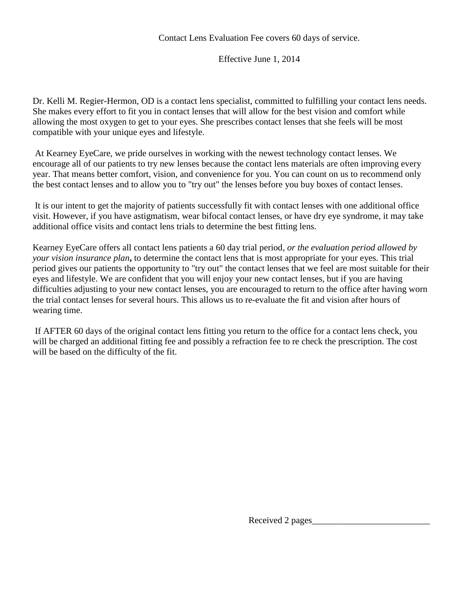## Effective June 1, 2014

Dr. Kelli M. Regier-Hermon, OD is a contact lens specialist, committed to fulfilling your contact lens needs. She makes every effort to fit you in contact lenses that will allow for the best vision and comfort while allowing the most oxygen to get to your eyes. She prescribes contact lenses that she feels will be most compatible with your unique eyes and lifestyle.

At Kearney EyeCare, we pride ourselves in working with the newest technology contact lenses. We encourage all of our patients to try new lenses because the contact lens materials are often improving every year. That means better comfort, vision, and convenience for you. You can count on us to recommend only the best contact lenses and to allow you to "try out" the lenses before you buy boxes of contact lenses.

It is our intent to get the majority of patients successfully fit with contact lenses with one additional office visit. However, if you have astigmatism, wear bifocal contact lenses, or have dry eye syndrome, it may take additional office visits and contact lens trials to determine the best fitting lens.

Kearney EyeCare offers all contact lens patients a 60 day trial period*, or the evaluation period allowed by your vision insurance plan***,** to determine the contact lens that is most appropriate for your eyes. This trial period gives our patients the opportunity to "try out" the contact lenses that we feel are most suitable for their eyes and lifestyle. We are confident that you will enjoy your new contact lenses, but if you are having difficulties adjusting to your new contact lenses, you are encouraged to return to the office after having worn the trial contact lenses for several hours. This allows us to re-evaluate the fit and vision after hours of wearing time.

If AFTER 60 days of the original contact lens fitting you return to the office for a contact lens check, you will be charged an additional fitting fee and possibly a refraction fee to re check the prescription. The cost will be based on the difficulty of the fit.